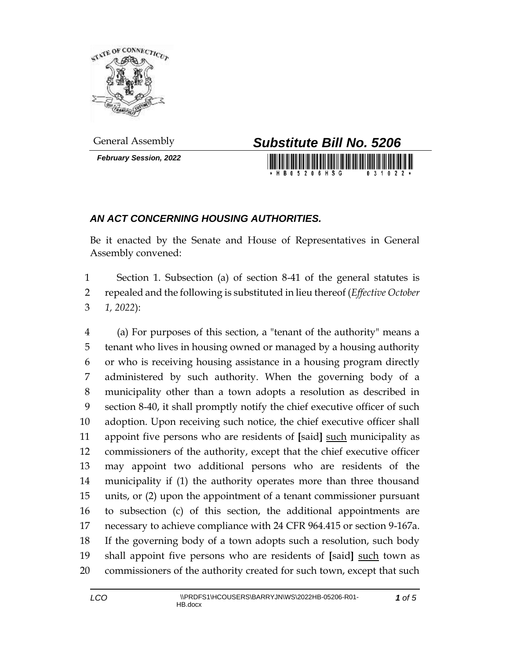

*February Session, 2022*



## *AN ACT CONCERNING HOUSING AUTHORITIES.*

Be it enacted by the Senate and House of Representatives in General Assembly convened:

 Section 1. Subsection (a) of section 8-41 of the general statutes is repealed and the following is substituted in lieu thereof (*Effective October 1, 2022*):

 (a) For purposes of this section, a "tenant of the authority" means a tenant who lives in housing owned or managed by a housing authority or who is receiving housing assistance in a housing program directly administered by such authority. When the governing body of a municipality other than a town adopts a resolution as described in section 8-40, it shall promptly notify the chief executive officer of such adoption. Upon receiving such notice, the chief executive officer shall appoint five persons who are residents of **[**said**]** such municipality as commissioners of the authority, except that the chief executive officer may appoint two additional persons who are residents of the municipality if (1) the authority operates more than three thousand units, or (2) upon the appointment of a tenant commissioner pursuant to subsection (c) of this section, the additional appointments are necessary to achieve compliance with 24 CFR 964.415 or section 9-167a. If the governing body of a town adopts such a resolution, such body 19 shall appoint five persons who are residents of [said] such town as commissioners of the authority created for such town, except that such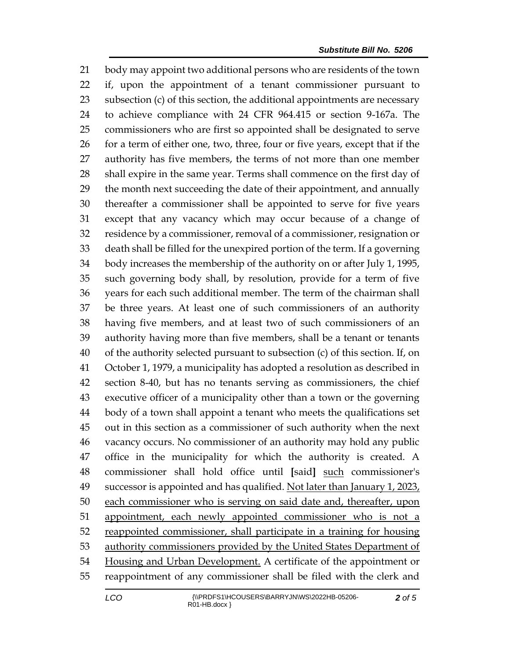body may appoint two additional persons who are residents of the town if, upon the appointment of a tenant commissioner pursuant to subsection (c) of this section, the additional appointments are necessary to achieve compliance with 24 CFR 964.415 or section 9-167a. The commissioners who are first so appointed shall be designated to serve 26 for a term of either one, two, three, four or five years, except that if the authority has five members, the terms of not more than one member shall expire in the same year. Terms shall commence on the first day of the month next succeeding the date of their appointment, and annually thereafter a commissioner shall be appointed to serve for five years except that any vacancy which may occur because of a change of residence by a commissioner, removal of a commissioner, resignation or death shall be filled for the unexpired portion of the term. If a governing body increases the membership of the authority on or after July 1, 1995, such governing body shall, by resolution, provide for a term of five years for each such additional member. The term of the chairman shall be three years. At least one of such commissioners of an authority having five members, and at least two of such commissioners of an authority having more than five members, shall be a tenant or tenants of the authority selected pursuant to subsection (c) of this section. If, on October 1, 1979, a municipality has adopted a resolution as described in section 8-40, but has no tenants serving as commissioners, the chief executive officer of a municipality other than a town or the governing body of a town shall appoint a tenant who meets the qualifications set out in this section as a commissioner of such authority when the next vacancy occurs. No commissioner of an authority may hold any public office in the municipality for which the authority is created. A commissioner shall hold office until **[**said**]** such commissioner's 49 successor is appointed and has qualified. Not later than January 1, 2023, each commissioner who is serving on said date and, thereafter, upon 51 appointment, each newly appointed commissioner who is not a reappointed commissioner, shall participate in a training for housing 53 authority commissioners provided by the United States Department of 54 Housing and Urban Development. A certificate of the appointment or reappointment of any commissioner shall be filed with the clerk and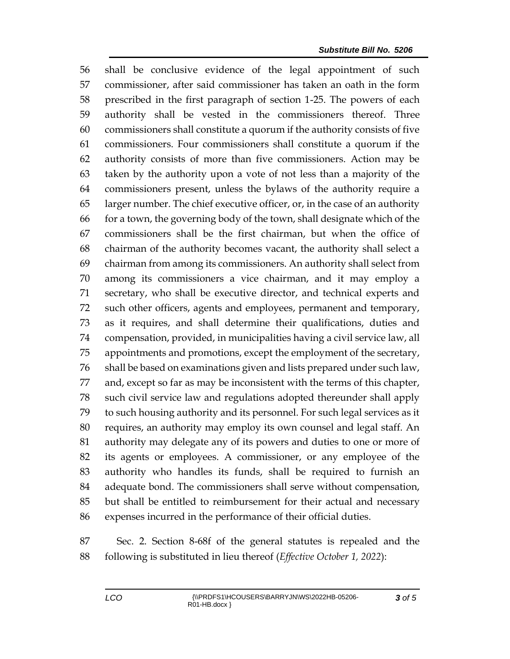shall be conclusive evidence of the legal appointment of such commissioner, after said commissioner has taken an oath in the form prescribed in the first paragraph of section 1-25. The powers of each authority shall be vested in the commissioners thereof. Three commissioners shall constitute a quorum if the authority consists of five commissioners. Four commissioners shall constitute a quorum if the authority consists of more than five commissioners. Action may be taken by the authority upon a vote of not less than a majority of the commissioners present, unless the bylaws of the authority require a larger number. The chief executive officer, or, in the case of an authority for a town, the governing body of the town, shall designate which of the commissioners shall be the first chairman, but when the office of chairman of the authority becomes vacant, the authority shall select a chairman from among its commissioners. An authority shall select from among its commissioners a vice chairman, and it may employ a secretary, who shall be executive director, and technical experts and such other officers, agents and employees, permanent and temporary, as it requires, and shall determine their qualifications, duties and compensation, provided, in municipalities having a civil service law, all appointments and promotions, except the employment of the secretary, shall be based on examinations given and lists prepared under such law, and, except so far as may be inconsistent with the terms of this chapter, such civil service law and regulations adopted thereunder shall apply to such housing authority and its personnel. For such legal services as it requires, an authority may employ its own counsel and legal staff. An authority may delegate any of its powers and duties to one or more of its agents or employees. A commissioner, or any employee of the authority who handles its funds, shall be required to furnish an adequate bond. The commissioners shall serve without compensation, but shall be entitled to reimbursement for their actual and necessary expenses incurred in the performance of their official duties.

 Sec. 2. Section 8-68f of the general statutes is repealed and the following is substituted in lieu thereof (*Effective October 1, 2022*):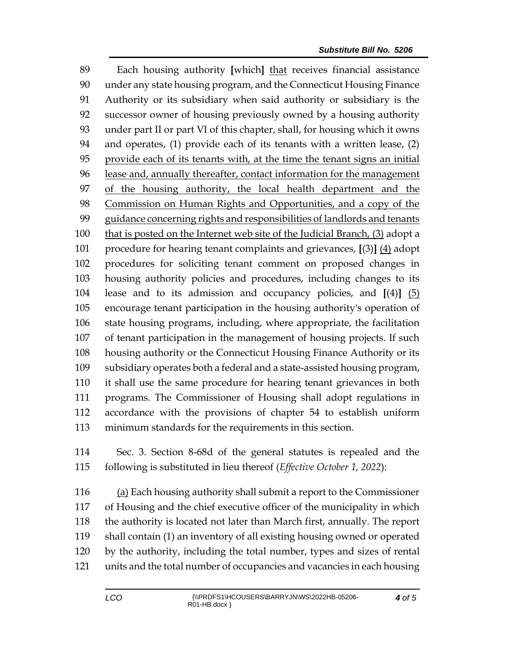Each housing authority **[**which**]** that receives financial assistance under any state housing program, and the Connecticut Housing Finance Authority or its subsidiary when said authority or subsidiary is the successor owner of housing previously owned by a housing authority under part II or part VI of this chapter, shall, for housing which it owns and operates, (1) provide each of its tenants with a written lease, (2) provide each of its tenants with, at the time the tenant signs an initial 96 lease and, annually thereafter, contact information for the management of the housing authority, the local health department and the Commission on Human Rights and Opportunities, and a copy of the guidance concerning rights and responsibilities of landlords and tenants that is posted on the Internet web site of the Judicial Branch, (3) adopt a procedure for hearing tenant complaints and grievances, **[**(3)**]** (4) adopt procedures for soliciting tenant comment on proposed changes in housing authority policies and procedures, including changes to its lease and to its admission and occupancy policies, and **[**(4)**]** (5) encourage tenant participation in the housing authority's operation of state housing programs, including, where appropriate, the facilitation of tenant participation in the management of housing projects. If such housing authority or the Connecticut Housing Finance Authority or its subsidiary operates both a federal and a state-assisted housing program, it shall use the same procedure for hearing tenant grievances in both programs. The Commissioner of Housing shall adopt regulations in accordance with the provisions of chapter 54 to establish uniform minimum standards for the requirements in this section.

 Sec. 3. Section 8-68d of the general statutes is repealed and the following is substituted in lieu thereof (*Effective October 1, 2022*):

116 (a) Each housing authority shall submit a report to the Commissioner of Housing and the chief executive officer of the municipality in which the authority is located not later than March first, annually. The report shall contain (1) an inventory of all existing housing owned or operated by the authority, including the total number, types and sizes of rental units and the total number of occupancies and vacancies in each housing